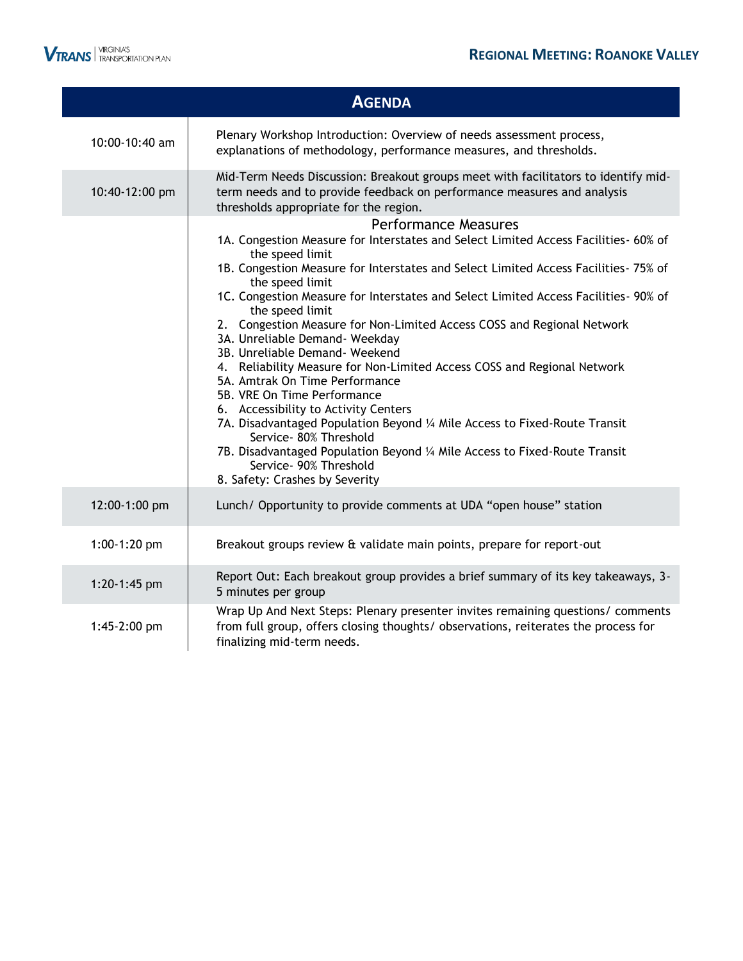

|                | <b>AGENDA</b>                                                                                                                                                                                                                                                                                                                                                                                                                                                                                                                                                                                                                                                                                                                                                                                                                                                                                                                                 |
|----------------|-----------------------------------------------------------------------------------------------------------------------------------------------------------------------------------------------------------------------------------------------------------------------------------------------------------------------------------------------------------------------------------------------------------------------------------------------------------------------------------------------------------------------------------------------------------------------------------------------------------------------------------------------------------------------------------------------------------------------------------------------------------------------------------------------------------------------------------------------------------------------------------------------------------------------------------------------|
| 10:00-10:40 am | Plenary Workshop Introduction: Overview of needs assessment process,<br>explanations of methodology, performance measures, and thresholds.                                                                                                                                                                                                                                                                                                                                                                                                                                                                                                                                                                                                                                                                                                                                                                                                    |
| 10:40-12:00 pm | Mid-Term Needs Discussion: Breakout groups meet with facilitators to identify mid-<br>term needs and to provide feedback on performance measures and analysis<br>thresholds appropriate for the region.                                                                                                                                                                                                                                                                                                                                                                                                                                                                                                                                                                                                                                                                                                                                       |
|                | <b>Performance Measures</b><br>1A. Congestion Measure for Interstates and Select Limited Access Facilities- 60% of<br>the speed limit<br>1B. Congestion Measure for Interstates and Select Limited Access Facilities- 75% of<br>the speed limit<br>1C. Congestion Measure for Interstates and Select Limited Access Facilities- 90% of<br>the speed limit<br>2. Congestion Measure for Non-Limited Access COSS and Regional Network<br>3A. Unreliable Demand- Weekday<br>3B. Unreliable Demand- Weekend<br>4. Reliability Measure for Non-Limited Access COSS and Regional Network<br>5A. Amtrak On Time Performance<br>5B. VRE On Time Performance<br>6. Accessibility to Activity Centers<br>7A. Disadvantaged Population Beyond 1/4 Mile Access to Fixed-Route Transit<br>Service- 80% Threshold<br>7B. Disadvantaged Population Beyond 1/4 Mile Access to Fixed-Route Transit<br>Service- 90% Threshold<br>8. Safety: Crashes by Severity |
| 12:00-1:00 pm  | Lunch/ Opportunity to provide comments at UDA "open house" station                                                                                                                                                                                                                                                                                                                                                                                                                                                                                                                                                                                                                                                                                                                                                                                                                                                                            |
| $1:00-1:20$ pm | Breakout groups review & validate main points, prepare for report-out                                                                                                                                                                                                                                                                                                                                                                                                                                                                                                                                                                                                                                                                                                                                                                                                                                                                         |
| 1:20-1:45 pm   | Report Out: Each breakout group provides a brief summary of its key takeaways, 3-<br>5 minutes per group                                                                                                                                                                                                                                                                                                                                                                                                                                                                                                                                                                                                                                                                                                                                                                                                                                      |
| 1:45-2:00 pm   | Wrap Up And Next Steps: Plenary presenter invites remaining questions/ comments<br>from full group, offers closing thoughts/ observations, reiterates the process for<br>finalizing mid-term needs.                                                                                                                                                                                                                                                                                                                                                                                                                                                                                                                                                                                                                                                                                                                                           |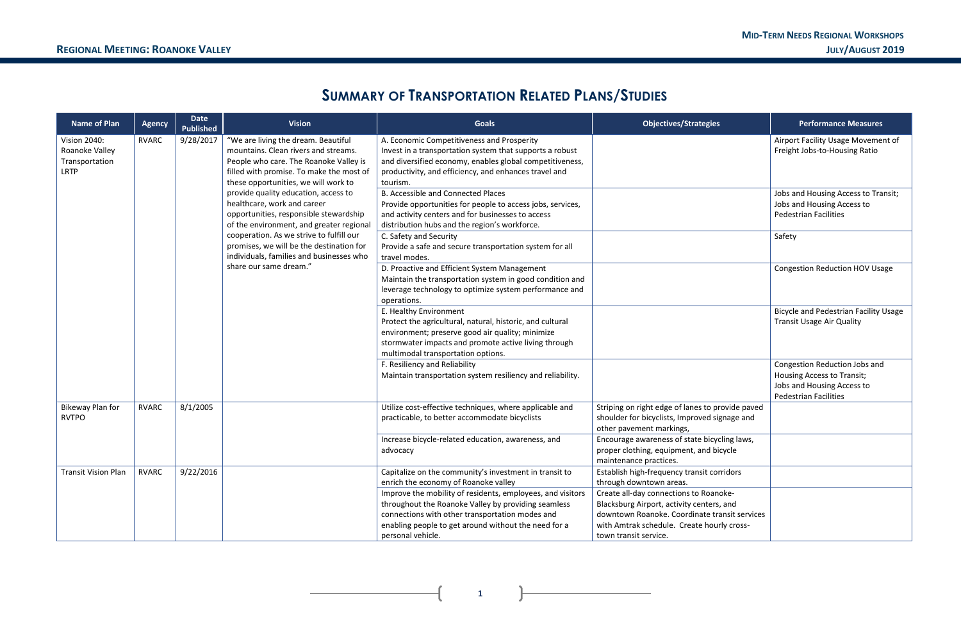**1**

# **SUMMARY OF TRANSPORTATION RELATED PLANS/STUDIES**

| <b>Name of Plan</b>                                                    | <b>Agency</b> | <b>Date</b><br><b>Published</b>                                                                                                  | <b>Vision</b>                                                                                                                                                                                                                         | <b>Goals</b>                                                                                                                                                                                                                                      | <b>Objectives/Strategies</b>                                                                                                                                                                                | <b>Performance Measures</b>                                                                                               |
|------------------------------------------------------------------------|---------------|----------------------------------------------------------------------------------------------------------------------------------|---------------------------------------------------------------------------------------------------------------------------------------------------------------------------------------------------------------------------------------|---------------------------------------------------------------------------------------------------------------------------------------------------------------------------------------------------------------------------------------------------|-------------------------------------------------------------------------------------------------------------------------------------------------------------------------------------------------------------|---------------------------------------------------------------------------------------------------------------------------|
| <b>Vision 2040:</b><br>Roanoke Valley<br>Transportation<br><b>LRTP</b> | <b>RVARC</b>  | 9/28/2017                                                                                                                        | "We are living the dream. Beautiful<br>mountains. Clean rivers and streams.<br>People who care. The Roanoke Valley is<br>filled with promise. To make the most of<br>these opportunities, we will work to                             | A. Economic Competitiveness and Prosperity<br>Invest in a transportation system that supports a robust<br>and diversified economy, enables global competitiveness,<br>productivity, and efficiency, and enhances travel and<br>tourism.           |                                                                                                                                                                                                             | Airport Facility Usage Movement of<br>Freight Jobs-to-Housing Ratio                                                       |
|                                                                        |               |                                                                                                                                  | provide quality education, access to<br>healthcare, work and career<br>opportunities, responsible stewardship<br>of the environment, and greater regional                                                                             | <b>B. Accessible and Connected Places</b><br>Provide opportunities for people to access jobs, services,<br>and activity centers and for businesses to access<br>distribution hubs and the region's workforce.                                     |                                                                                                                                                                                                             | Jobs and Housing Access to Transit;<br>Jobs and Housing Access to<br><b>Pedestrian Facilities</b>                         |
|                                                                        |               | cooperation. As we strive to fulfill our<br>promises, we will be the destination for<br>individuals, families and businesses who | C. Safety and Security<br>Provide a safe and secure transportation system for all<br>travel modes.                                                                                                                                    |                                                                                                                                                                                                                                                   | Safety                                                                                                                                                                                                      |                                                                                                                           |
|                                                                        |               | share our same dream."                                                                                                           |                                                                                                                                                                                                                                       | D. Proactive and Efficient System Management<br>Maintain the transportation system in good condition and<br>leverage technology to optimize system performance and<br>operations.                                                                 |                                                                                                                                                                                                             | <b>Congestion Reduction HOV Usage</b>                                                                                     |
|                                                                        |               |                                                                                                                                  | E. Healthy Environment<br>Protect the agricultural, natural, historic, and cultural<br>environment; preserve good air quality; minimize<br>stormwater impacts and promote active living through<br>multimodal transportation options. |                                                                                                                                                                                                                                                   | <b>Bicycle and Pedestrian Facility Usage</b><br><b>Transit Usage Air Quality</b>                                                                                                                            |                                                                                                                           |
|                                                                        |               |                                                                                                                                  |                                                                                                                                                                                                                                       | F. Resiliency and Reliability<br>Maintain transportation system resiliency and reliability.                                                                                                                                                       |                                                                                                                                                                                                             | Congestion Reduction Jobs and<br>Housing Access to Transit;<br>Jobs and Housing Access to<br><b>Pedestrian Facilities</b> |
| Bikeway Plan for<br><b>RVTPO</b>                                       | <b>RVARC</b>  | 8/1/2005                                                                                                                         |                                                                                                                                                                                                                                       | Utilize cost-effective techniques, where applicable and<br>practicable, to better accommodate bicyclists                                                                                                                                          | Striping on right edge of lanes to provide paved<br>shoulder for bicyclists, Improved signage and<br>other pavement markings,                                                                               |                                                                                                                           |
|                                                                        |               |                                                                                                                                  |                                                                                                                                                                                                                                       | Increase bicycle-related education, awareness, and<br>advocacy                                                                                                                                                                                    | Encourage awareness of state bicycling laws,<br>proper clothing, equipment, and bicycle<br>maintenance practices.                                                                                           |                                                                                                                           |
| <b>Transit Vision Plan</b>                                             | <b>RVARC</b>  | 9/22/2016                                                                                                                        |                                                                                                                                                                                                                                       | Capitalize on the community's investment in transit to<br>enrich the economy of Roanoke valley                                                                                                                                                    | Establish high-frequency transit corridors<br>through downtown areas.                                                                                                                                       |                                                                                                                           |
|                                                                        |               |                                                                                                                                  |                                                                                                                                                                                                                                       | Improve the mobility of residents, employees, and visitors<br>throughout the Roanoke Valley by providing seamless<br>connections with other transportation modes and<br>enabling people to get around without the need for a<br>personal vehicle. | Create all-day connections to Roanoke-<br>Blacksburg Airport, activity centers, and<br>downtown Roanoke. Coordinate transit services<br>with Amtrak schedule. Create hourly cross-<br>town transit service. |                                                                                                                           |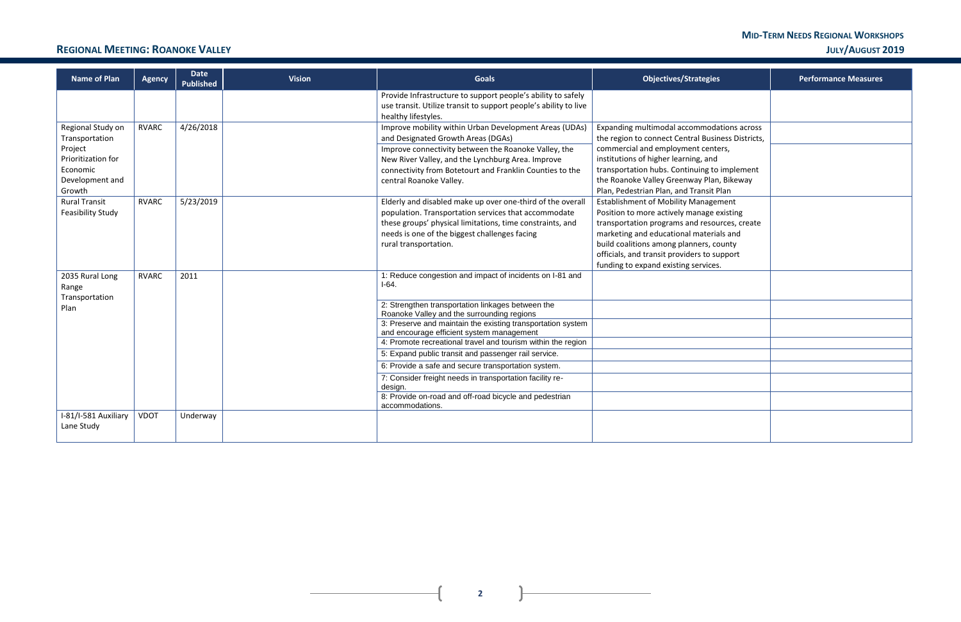### **MID-TERM NEEDS REGIONAL WORKSHOPS REGIONAL MEETING: ROANOKE VALLEY JULY/AUGUST 2019**

| gies                                                                                                  | <b>Performance Measures</b> |
|-------------------------------------------------------------------------------------------------------|-----------------------------|
|                                                                                                       |                             |
| odations across<br>usiness Districts,<br>enters,<br>and<br>g to implement<br>lan, Bikeway<br>sit Plan |                             |
| agement<br>ge existing<br>sources, create<br>erials and<br>s, county<br>o support<br>ices.            |                             |
|                                                                                                       |                             |
|                                                                                                       |                             |
|                                                                                                       |                             |
|                                                                                                       |                             |
|                                                                                                       |                             |

 $\mathbb{R}$ 

 $\overline{1}$ 

| <b>Name of Plan</b>                                                    | <b>Agency</b> | <b>Date</b><br><b>Published</b> | <b>Vision</b> | <b>Goals</b>                                                                                                                                                                                                                                              | Objectives/Strategies                                                                                                                                                                                                                                                                                                  | <b>Performance Measures</b> |
|------------------------------------------------------------------------|---------------|---------------------------------|---------------|-----------------------------------------------------------------------------------------------------------------------------------------------------------------------------------------------------------------------------------------------------------|------------------------------------------------------------------------------------------------------------------------------------------------------------------------------------------------------------------------------------------------------------------------------------------------------------------------|-----------------------------|
|                                                                        |               |                                 |               | Provide Infrastructure to support people's ability to safely<br>use transit. Utilize transit to support people's ability to live<br>healthy lifestyles.                                                                                                   |                                                                                                                                                                                                                                                                                                                        |                             |
| Regional Study on<br>Transportation                                    | <b>RVARC</b>  | 4/26/2018                       |               | Improve mobility within Urban Development Areas (UDAs)<br>and Designated Growth Areas (DGAs)                                                                                                                                                              | Expanding multimodal accommodations across<br>the region to connect Central Business Districts,                                                                                                                                                                                                                        |                             |
| Project<br>Prioritization for<br>Economic<br>Development and<br>Growth |               |                                 |               | Improve connectivity between the Roanoke Valley, the<br>New River Valley, and the Lynchburg Area. Improve<br>connectivity from Botetourt and Franklin Counties to the<br>central Roanoke Valley.                                                          | commercial and employment centers,<br>institutions of higher learning, and<br>transportation hubs. Continuing to implement<br>the Roanoke Valley Greenway Plan, Bikeway<br>Plan, Pedestrian Plan, and Transit Plan                                                                                                     |                             |
| <b>Rural Transit</b><br>Feasibility Study                              | <b>RVARC</b>  | 5/23/2019                       |               | Elderly and disabled make up over one-third of the overall<br>population. Transportation services that accommodate<br>these groups' physical limitations, time constraints, and<br>needs is one of the biggest challenges facing<br>rural transportation. | <b>Establishment of Mobility Management</b><br>Position to more actively manage existing<br>transportation programs and resources, create<br>marketing and educational materials and<br>build coalitions among planners, county<br>officials, and transit providers to support<br>funding to expand existing services. |                             |
| 2035 Rural Long<br>Range                                               | <b>RVARC</b>  | 2011                            |               | 1: Reduce congestion and impact of incidents on I-81 and<br>$I-64.$                                                                                                                                                                                       |                                                                                                                                                                                                                                                                                                                        |                             |
| Transportation<br>Plan                                                 |               |                                 |               | 2: Strengthen transportation linkages between the<br>Roanoke Valley and the surrounding regions                                                                                                                                                           |                                                                                                                                                                                                                                                                                                                        |                             |
|                                                                        |               |                                 |               | 3: Preserve and maintain the existing transportation system<br>and encourage efficient system management                                                                                                                                                  |                                                                                                                                                                                                                                                                                                                        |                             |
|                                                                        |               |                                 |               | 4: Promote recreational travel and tourism within the region                                                                                                                                                                                              |                                                                                                                                                                                                                                                                                                                        |                             |
|                                                                        |               |                                 |               | 5: Expand public transit and passenger rail service.                                                                                                                                                                                                      |                                                                                                                                                                                                                                                                                                                        |                             |
|                                                                        |               |                                 |               | 6: Provide a safe and secure transportation system.                                                                                                                                                                                                       |                                                                                                                                                                                                                                                                                                                        |                             |
|                                                                        |               |                                 |               | 7: Consider freight needs in transportation facility re-<br>design.                                                                                                                                                                                       |                                                                                                                                                                                                                                                                                                                        |                             |
|                                                                        |               |                                 |               | 8: Provide on-road and off-road bicycle and pedestrian<br>accommodations.                                                                                                                                                                                 |                                                                                                                                                                                                                                                                                                                        |                             |
| I-81/I-581 Auxiliary<br>Lane Study                                     | <b>VDOT</b>   | Underway                        |               |                                                                                                                                                                                                                                                           |                                                                                                                                                                                                                                                                                                                        |                             |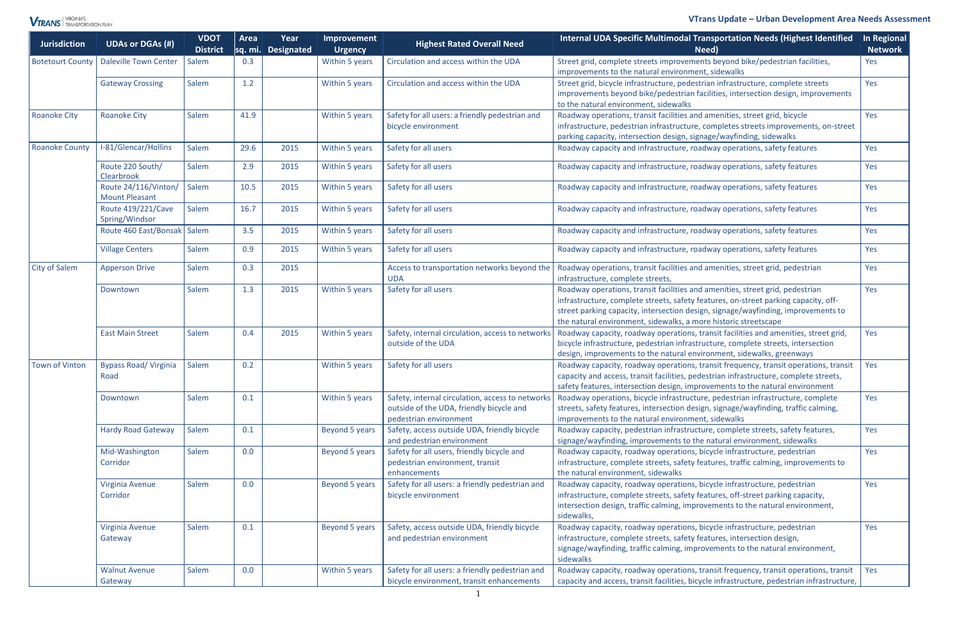### **VTrans Update** *–* **Urban Development Area Needs Assessment**



| <b>Jurisdiction</b>     | <b>UDAs or DGAs (#)</b>                       | <b>VDOT</b><br><b>District</b> | Area | Year<br>sq. mi. Designated | Improvement<br><b>Urgency</b> | <b>Highest Rated Overall Need</b>                                                                                      | Internal UDA Specific Multimodal Transportation Needs (Highest Identified<br>Need)                                                                                                                                                                                                                                           | In Regional<br><b>Network</b> |
|-------------------------|-----------------------------------------------|--------------------------------|------|----------------------------|-------------------------------|------------------------------------------------------------------------------------------------------------------------|------------------------------------------------------------------------------------------------------------------------------------------------------------------------------------------------------------------------------------------------------------------------------------------------------------------------------|-------------------------------|
| <b>Botetourt County</b> | <b>Daleville Town Center</b>                  | Salem                          | 0.3  |                            | Within 5 years                | Circulation and access within the UDA                                                                                  | Street grid, complete streets improvements beyond bike/pedestrian facilities,                                                                                                                                                                                                                                                | Yes                           |
|                         | <b>Gateway Crossing</b>                       | Salem                          | 1.2  |                            | Within 5 years                | Circulation and access within the UDA                                                                                  | improvements to the natural environment, sidewalks<br>Street grid, bicycle infrastructure, pedestrian infrastructure, complete streets<br>improvements beyond bike/pedestrian facilities, intersection design, improvements<br>to the natural environment, sidewalks                                                         | Yes                           |
| <b>Roanoke City</b>     | <b>Roanoke City</b>                           | Salem                          | 41.9 |                            | Within 5 years                | Safety for all users: a friendly pedestrian and<br>bicycle environment                                                 | Roadway operations, transit facilities and amenities, street grid, bicycle<br>infrastructure, pedestrian infrastructure, completes streets improvements, on-street<br>parking capacity, intersection design, signage/wayfinding, sidewalks                                                                                   | Yes                           |
| <b>Roanoke County</b>   | I-81/Glencar/Hollins                          | Salem                          | 29.6 | 2015                       | Within 5 years                | Safety for all users                                                                                                   | Roadway capacity and infrastructure, roadway operations, safety features                                                                                                                                                                                                                                                     | Yes                           |
|                         | Route 220 South/<br>Clearbrook                | Salem                          | 2.9  | 2015                       | Within 5 years                | Safety for all users                                                                                                   | Roadway capacity and infrastructure, roadway operations, safety features                                                                                                                                                                                                                                                     | Yes                           |
|                         | Route 24/116/Vinton/<br><b>Mount Pleasant</b> | Salem                          | 10.5 | 2015                       | Within 5 years                | Safety for all users                                                                                                   | Roadway capacity and infrastructure, roadway operations, safety features                                                                                                                                                                                                                                                     | Yes                           |
|                         | Route 419/221/Cave<br>Spring/Windsor          | Salem                          | 16.7 | 2015                       | Within 5 years                | Safety for all users                                                                                                   | Roadway capacity and infrastructure, roadway operations, safety features                                                                                                                                                                                                                                                     | Yes                           |
|                         | Route 460 East/Bonsak   Salem                 |                                | 3.5  | 2015                       | Within 5 years                | Safety for all users                                                                                                   | Roadway capacity and infrastructure, roadway operations, safety features                                                                                                                                                                                                                                                     | Yes                           |
|                         | <b>Village Centers</b>                        | Salem                          | 0.9  | 2015                       | Within 5 years                | Safety for all users                                                                                                   | Roadway capacity and infrastructure, roadway operations, safety features                                                                                                                                                                                                                                                     | Yes                           |
| <b>City of Salem</b>    | <b>Apperson Drive</b>                         | Salem                          | 0.3  | 2015                       |                               | Access to transportation networks beyond the<br><b>UDA</b>                                                             | Roadway operations, transit facilities and amenities, street grid, pedestrian<br>infrastructure, complete streets,                                                                                                                                                                                                           | Yes                           |
|                         | Downtown                                      | Salem                          | 1.3  | 2015                       | Within 5 years                | Safety for all users                                                                                                   | Roadway operations, transit facilities and amenities, street grid, pedestrian<br>infrastructure, complete streets, safety features, on-street parking capacity, off-<br>street parking capacity, intersection design, signage/wayfinding, improvements to<br>the natural environment, sidewalks, a more historic streetscape | Yes                           |
|                         | <b>East Main Street</b>                       | Salem                          | 0.4  | 2015                       | Within 5 years                | Safety, internal circulation, access to networks<br>outside of the UDA                                                 | Roadway capacity, roadway operations, transit facilities and amenities, street grid,<br>bicycle infrastructure, pedestrian infrastructure, complete streets, intersection<br>design, improvements to the natural environment, sidewalks, greenways                                                                           | Yes                           |
| <b>Town of Vinton</b>   | <b>Bypass Road/ Virginia</b><br>Road          | Salem                          | 0.2  |                            | Within 5 years                | Safety for all users                                                                                                   | Roadway capacity, roadway operations, transit frequency, transit operations, transit<br>capacity and access, transit facilities, pedestrian infrastructure, complete streets,<br>safety features, intersection design, improvements to the natural environment                                                               | Yes                           |
|                         | Downtown                                      | Salem                          | 0.1  |                            | Within 5 years                | Safety, internal circulation, access to networks<br>outside of the UDA, friendly bicycle and<br>pedestrian environment | Roadway operations, bicycle infrastructure, pedestrian infrastructure, complete<br>streets, safety features, intersection design, signage/wayfinding, traffic calming,<br>improvements to the natural environment, sidewalks                                                                                                 | Yes                           |
|                         | <b>Hardy Road Gateway</b>                     | Salem                          | 0.1  |                            | Beyond 5 years                | Safety, access outside UDA, friendly bicycle<br>and pedestrian environment                                             | Roadway capacity, pedestrian infrastructure, complete streets, safety features,<br>signage/wayfinding, improvements to the natural environment, sidewalks                                                                                                                                                                    | Yes                           |
|                         | Mid-Washington<br>Corridor                    | Salem                          | 0.0  |                            | Beyond 5 years                | Safety for all users, friendly bicycle and<br>pedestrian environment, transit<br>enhancements                          | Roadway capacity, roadway operations, bicycle infrastructure, pedestrian<br>infrastructure, complete streets, safety features, traffic calming, improvements to<br>the natural environment, sidewalks                                                                                                                        | Yes                           |
|                         | Virginia Avenue<br>Corridor                   | Salem                          | 0.0  |                            | Beyond 5 years                | Safety for all users: a friendly pedestrian and<br>bicycle environment                                                 | Roadway capacity, roadway operations, bicycle infrastructure, pedestrian<br>infrastructure, complete streets, safety features, off-street parking capacity,<br>intersection design, traffic calming, improvements to the natural environment,<br>sidewalks,                                                                  | Yes                           |
|                         | Virginia Avenue<br>Gateway                    | Salem                          | 0.1  |                            | Beyond 5 years                | Safety, access outside UDA, friendly bicycle<br>and pedestrian environment                                             | Roadway capacity, roadway operations, bicycle infrastructure, pedestrian<br>infrastructure, complete streets, safety features, intersection design,<br>signage/wayfinding, traffic calming, improvements to the natural environment,<br>sidewalks                                                                            | Yes                           |
|                         | <b>Walnut Avenue</b><br>Gateway               | Salem                          | 0.0  |                            | Within 5 years                | Safety for all users: a friendly pedestrian and<br>bicycle environment, transit enhancements                           | Roadway capacity, roadway operations, transit frequency, transit operations, transit<br>capacity and access, transit facilities, bicycle infrastructure, pedestrian infrastructure,                                                                                                                                          | Yes                           |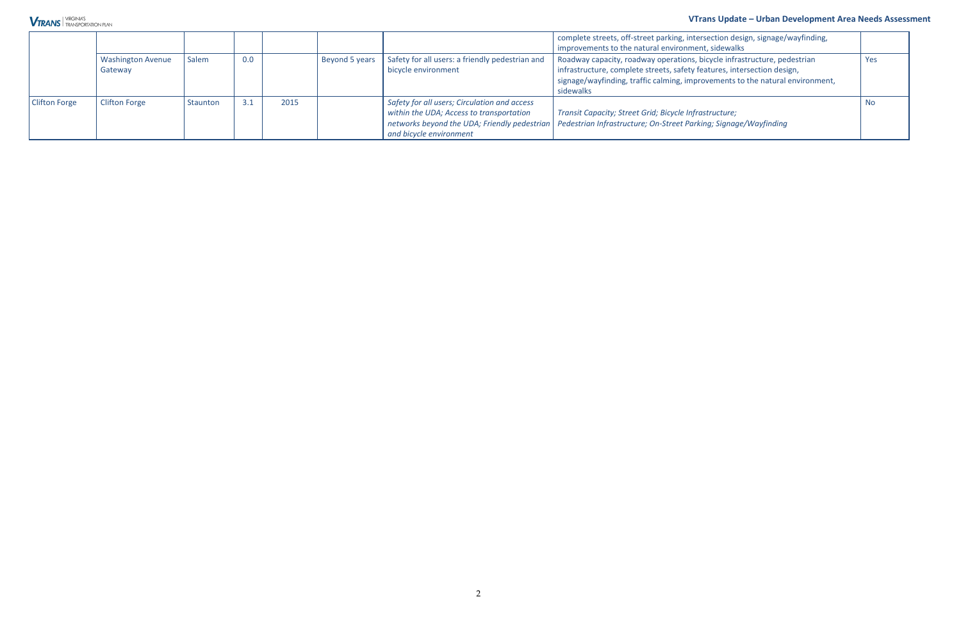#### **VTrans Update** *–* **Urban Development Area Needs Assessment**

|                      |                                     |          |     |      |                        |                                                                                                                                                                     | complete streets, off-street parking, intersection design, signage/wayfinding,<br>improvements to the natural environment, sidewalks                                                                                                              |           |
|----------------------|-------------------------------------|----------|-----|------|------------------------|---------------------------------------------------------------------------------------------------------------------------------------------------------------------|---------------------------------------------------------------------------------------------------------------------------------------------------------------------------------------------------------------------------------------------------|-----------|
|                      | <b>Washington Avenue</b><br>Gateway | Salem    | 0.0 |      | Beyond 5 years $\vert$ | Safety for all users: a friendly pedestrian and<br>bicycle environment                                                                                              | Roadway capacity, roadway operations, bicycle infrastructure, pedestrian<br>infrastructure, complete streets, safety features, intersection design,<br>signage/wayfinding, traffic calming, improvements to the natural environment,<br>sidewalks | Yes       |
| <b>Clifton Forge</b> | <b>Clifton Forge</b>                | Staunton | 3.1 | 2015 |                        | Safety for all users; Circulation and access<br>within the UDA; Access to transportation<br>networks beyond the UDA; Friendly pedestrian<br>and bicycle environment | Transit Capacity; Street Grid; Bicycle Infrastructure;<br>Pedestrian Infrastructure; On-Street Parking; Signage/Wayfinding                                                                                                                        | <b>No</b> |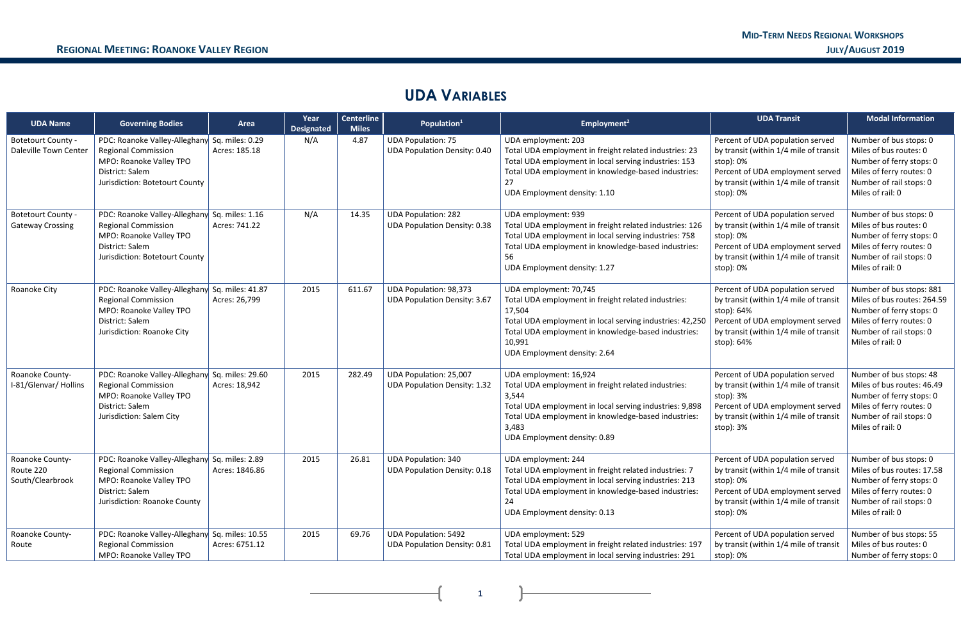# **UDA VARIABLES**

| <b>UDA Name</b>                                    | <b>Governing Bodies</b>                                                                                                                                     | Area           | Year<br><b>Designated</b> | <b>Centerline</b><br><b>Miles</b> | Population <sup>1</sup>                                              | Employment <sup>2</sup>                                                                                                                                                                                                                              | <b>UDA Transit</b>                                                                                                                                                                   | <b>Modal Information</b>                                                                                                                                       |
|----------------------------------------------------|-------------------------------------------------------------------------------------------------------------------------------------------------------------|----------------|---------------------------|-----------------------------------|----------------------------------------------------------------------|------------------------------------------------------------------------------------------------------------------------------------------------------------------------------------------------------------------------------------------------------|--------------------------------------------------------------------------------------------------------------------------------------------------------------------------------------|----------------------------------------------------------------------------------------------------------------------------------------------------------------|
| <b>Botetourt County -</b><br>Daleville Town Center | PDC: Roanoke Valley-Alleghany Sq. miles: 0.29<br><b>Regional Commission</b><br>MPO: Roanoke Valley TPO<br>District: Salem<br>Jurisdiction: Botetourt County | Acres: 185.18  | N/A                       | 4.87                              | <b>UDA Population: 75</b><br><b>UDA Population Density: 0.40</b>     | UDA employment: 203<br>Total UDA employment in freight related industries: 23<br>Total UDA employment in local serving industries: 153<br>Total UDA employment in knowledge-based industries:<br>UDA Employment density: 1.10                        | Percent of UDA population served<br>by transit (within 1/4 mile of transit<br>stop): 0%<br>Percent of UDA employment served<br>by transit (within 1/4 mile of transit<br>stop): 0%   | Number of bus stops: 0<br>Miles of bus routes: 0<br>Number of ferry stops: 0<br>Miles of ferry routes: 0<br>Number of rail stops: 0<br>Miles of rail: 0        |
| Botetourt County -<br><b>Gateway Crossing</b>      | PDC: Roanoke Valley-Alleghany Sq. miles: 1.16<br><b>Regional Commission</b><br>MPO: Roanoke Valley TPO<br>District: Salem<br>Jurisdiction: Botetourt County | Acres: 741.22  | N/A                       | 14.35                             | <b>UDA Population: 282</b><br><b>UDA Population Density: 0.38</b>    | UDA employment: 939<br>Total UDA employment in freight related industries: 126<br>Total UDA employment in local serving industries: 758<br>Total UDA employment in knowledge-based industries:<br>56<br>UDA Employment density: 1.27                 | Percent of UDA population served<br>by transit (within 1/4 mile of transit<br>stop): 0%<br>Percent of UDA employment served<br>by transit (within 1/4 mile of transit<br>stop): 0%   | Number of bus stops: 0<br>Miles of bus routes: 0<br>Number of ferry stops: 0<br>Miles of ferry routes: 0<br>Number of rail stops: 0<br>Miles of rail: 0        |
| Roanoke City                                       | PDC: Roanoke Valley-Alleghany Sq. miles: 41.87<br><b>Regional Commission</b><br>MPO: Roanoke Valley TPO<br>District: Salem<br>Jurisdiction: Roanoke City    | Acres: 26,799  | 2015                      | 611.67                            | <b>UDA Population: 98,373</b><br><b>UDA Population Density: 3.67</b> | UDA employment: 70,745<br>Total UDA employment in freight related industries:<br>17,504<br>Total UDA employment in local serving industries: 42,250<br>Total UDA employment in knowledge-based industries:<br>10,991<br>UDA Employment density: 2.64 | Percent of UDA population served<br>by transit (within 1/4 mile of transit<br>stop): 64%<br>Percent of UDA employment served<br>by transit (within 1/4 mile of transit<br>stop): 64% | Number of bus stops: 881<br>Miles of bus routes: 264.59<br>Number of ferry stops: 0<br>Miles of ferry routes: 0<br>Number of rail stops: 0<br>Miles of rail: 0 |
| Roanoke County-<br>I-81/Glenvar/ Hollins           | PDC: Roanoke Valley-Alleghany Sq. miles: 29.60<br><b>Regional Commission</b><br>MPO: Roanoke Valley TPO<br>District: Salem<br>Jurisdiction: Salem City      | Acres: 18,942  | 2015                      | 282.49                            | UDA Population: 25,007<br><b>UDA Population Density: 1.32</b>        | UDA employment: 16,924<br>Total UDA employment in freight related industries:<br>3,544<br>Total UDA employment in local serving industries: 9,898<br>Total UDA employment in knowledge-based industries:<br>3,483<br>UDA Employment density: 0.89    | Percent of UDA population served<br>by transit (within 1/4 mile of transit<br>stop): 3%<br>Percent of UDA employment served<br>by transit (within 1/4 mile of transit<br>stop): 3%   | Number of bus stops: 48<br>Miles of bus routes: 46.49<br>Number of ferry stops: 0<br>Miles of ferry routes: 0<br>Number of rail stops: 0<br>Miles of rail: 0   |
| Roanoke County-<br>Route 220<br>South/Clearbrook   | PDC: Roanoke Valley-Alleghany Sq. miles: 2.89<br><b>Regional Commission</b><br>MPO: Roanoke Valley TPO<br>District: Salem<br>Jurisdiction: Roanoke County   | Acres: 1846.86 | 2015                      | 26.81                             | <b>UDA Population: 340</b><br><b>UDA Population Density: 0.18</b>    | UDA employment: 244<br>Total UDA employment in freight related industries: 7<br>Total UDA employment in local serving industries: 213<br>Total UDA employment in knowledge-based industries:<br>24<br>UDA Employment density: 0.13                   | Percent of UDA population served<br>by transit (within 1/4 mile of transit<br>stop): 0%<br>Percent of UDA employment served<br>by transit (within 1/4 mile of transit<br>stop): 0%   | Number of bus stops: 0<br>Miles of bus routes: 17.58<br>Number of ferry stops: 0<br>Miles of ferry routes: 0<br>Number of rail stops: 0<br>Miles of rail: 0    |
| Roanoke County-<br>Route                           | PDC: Roanoke Valley-Alleghany Sq. miles: 10.55<br><b>Regional Commission</b><br>MPO: Roanoke Valley TPO                                                     | Acres: 6751.12 | 2015                      | 69.76                             | <b>UDA Population: 5492</b><br><b>UDA Population Density: 0.81</b>   | UDA employment: 529<br>Total UDA employment in freight related industries: 197<br>Total UDA employment in local serving industries: 291                                                                                                              | Percent of UDA population served<br>by transit (within 1/4 mile of transit<br>stop): 0%                                                                                              | Number of bus stops: 55<br>Miles of bus routes: 0<br>Number of ferry stops: 0                                                                                  |

**1 1 1 1**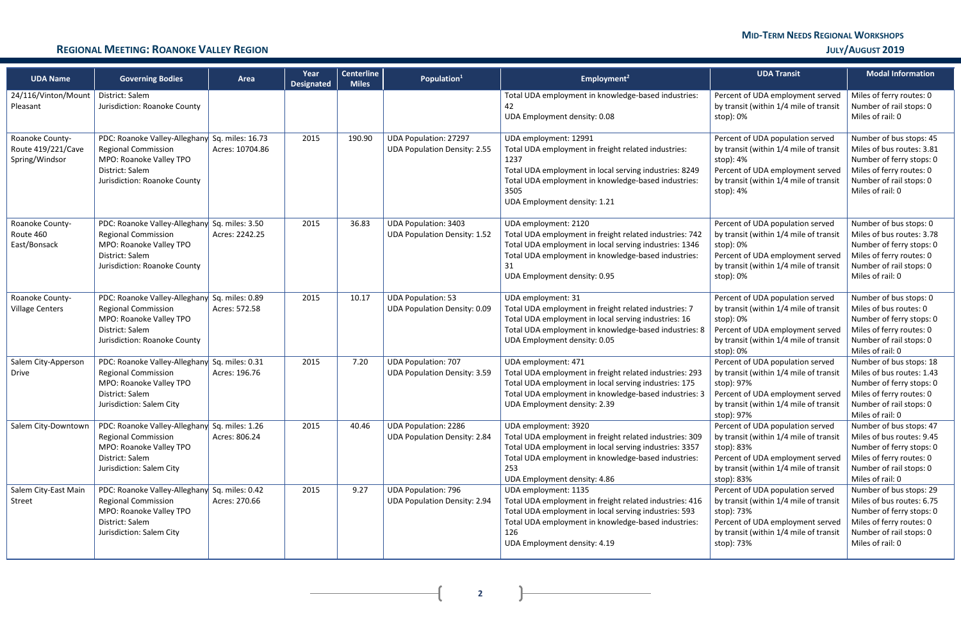# **MID-TERM NEEDS REGIONAL WORKSHOPS**

## **REGIONAL MEETING: ROANOKE VALLEY REGION JULY/AUGUST 2019**

**2**

| <b>UDA Name</b>                                         | <b>Governing Bodies</b>                                                                                                                                    | Area            | Year<br><b>Designated</b> | <b>Centerline</b><br><b>Miles</b> | Population <sup>1</sup>                                             | Employment <sup>2</sup>                                                                                                                                                                                                                       | <b>UDA Transit</b>                                                                                                                                                                   | <b>Modal Information</b>                                                                                                                                    |
|---------------------------------------------------------|------------------------------------------------------------------------------------------------------------------------------------------------------------|-----------------|---------------------------|-----------------------------------|---------------------------------------------------------------------|-----------------------------------------------------------------------------------------------------------------------------------------------------------------------------------------------------------------------------------------------|--------------------------------------------------------------------------------------------------------------------------------------------------------------------------------------|-------------------------------------------------------------------------------------------------------------------------------------------------------------|
| 24/116/Vinton/Mount<br>Pleasant                         | District: Salem<br>Jurisdiction: Roanoke County                                                                                                            |                 |                           |                                   |                                                                     | Total UDA employment in knowledge-based industries:<br>42<br>UDA Employment density: 0.08                                                                                                                                                     | Percent of UDA employment served<br>by transit (within 1/4 mile of transit<br>stop): 0%                                                                                              | Miles of ferry routes: 0<br>Number of rail stops: 0<br>Miles of rail: 0                                                                                     |
| Roanoke County-<br>Route 419/221/Cave<br>Spring/Windsor | PDC: Roanoke Valley-Alleghany Sq. miles: 16.73<br><b>Regional Commission</b><br>MPO: Roanoke Valley TPO<br>District: Salem<br>Jurisdiction: Roanoke County | Acres: 10704.86 | 2015                      | 190.90                            | <b>UDA Population: 27297</b><br><b>UDA Population Density: 2.55</b> | UDA employment: 12991<br>Total UDA employment in freight related industries:<br>1237<br>Total UDA employment in local serving industries: 8249<br>Total UDA employment in knowledge-based industries:<br>3505<br>UDA Employment density: 1.21 | Percent of UDA population served<br>by transit (within 1/4 mile of transit<br>stop): 4%<br>Percent of UDA employment served<br>by transit (within 1/4 mile of transit<br>stop): 4%   | Number of bus stops: 45<br>Miles of bus routes: 3.81<br>Number of ferry stops: 0<br>Miles of ferry routes: 0<br>Number of rail stops: 0<br>Miles of rail: 0 |
| Roanoke County-<br>Route 460<br>East/Bonsack            | PDC: Roanoke Valley-Alleghany Sq. miles: 3.50<br><b>Regional Commission</b><br>MPO: Roanoke Valley TPO<br>District: Salem<br>Jurisdiction: Roanoke County  | Acres: 2242.25  | 2015                      | 36.83                             | <b>UDA Population: 3403</b><br><b>UDA Population Density: 1.52</b>  | UDA employment: 2120<br>Total UDA employment in freight related industries: 742<br>Total UDA employment in local serving industries: 1346<br>Total UDA employment in knowledge-based industries:<br>31<br>UDA Employment density: 0.95        | Percent of UDA population served<br>by transit (within 1/4 mile of transit<br>stop): 0%<br>Percent of UDA employment served<br>by transit (within 1/4 mile of transit<br>stop): 0%   | Number of bus stops: 0<br>Miles of bus routes: 3.78<br>Number of ferry stops: 0<br>Miles of ferry routes: 0<br>Number of rail stops: 0<br>Miles of rail: 0  |
| Roanoke County-<br><b>Village Centers</b>               | PDC: Roanoke Valley-Alleghany Sq. miles: 0.89<br><b>Regional Commission</b><br>MPO: Roanoke Valley TPO<br>District: Salem<br>Jurisdiction: Roanoke County  | Acres: 572.58   | 2015                      | 10.17                             | <b>UDA Population: 53</b><br>UDA Population Density: 0.09           | UDA employment: 31<br>Total UDA employment in freight related industries: 7<br>Total UDA employment in local serving industries: 16<br>Total UDA employment in knowledge-based industries: 8<br>UDA Employment density: 0.05                  | Percent of UDA population served<br>by transit (within 1/4 mile of transit<br>stop): 0%<br>Percent of UDA employment served<br>by transit (within 1/4 mile of transit<br>stop): 0%   | Number of bus stops: 0<br>Miles of bus routes: 0<br>Number of ferry stops: 0<br>Miles of ferry routes: 0<br>Number of rail stops: 0<br>Miles of rail: 0     |
| Salem City-Apperson<br><b>Drive</b>                     | PDC: Roanoke Valley-Alleghany Sq. miles: 0.31<br><b>Regional Commission</b><br>MPO: Roanoke Valley TPO<br>District: Salem<br>Jurisdiction: Salem City      | Acres: 196.76   | 2015                      | 7.20                              | <b>UDA Population: 707</b><br><b>UDA Population Density: 3.59</b>   | UDA employment: 471<br>Total UDA employment in freight related industries: 293<br>Total UDA employment in local serving industries: 175<br>Total UDA employment in knowledge-based industries: 3<br>UDA Employment density: 2.39              | Percent of UDA population served<br>by transit (within 1/4 mile of transit<br>stop): 97%<br>Percent of UDA employment served<br>by transit (within 1/4 mile of transit<br>stop): 97% | Number of bus stops: 18<br>Miles of bus routes: 1.43<br>Number of ferry stops: 0<br>Miles of ferry routes: 0<br>Number of rail stops: 0<br>Miles of rail: 0 |
| Salem City-Downtown                                     | PDC: Roanoke Valley-Alleghany Sq. miles: 1.26<br><b>Regional Commission</b><br>MPO: Roanoke Valley TPO<br>District: Salem<br>Jurisdiction: Salem City      | Acres: 806.24   | 2015                      | 40.46                             | <b>UDA Population: 2286</b><br><b>UDA Population Density: 2.84</b>  | UDA employment: 3920<br>Total UDA employment in freight related industries: 309<br>Total UDA employment in local serving industries: 3357<br>Total UDA employment in knowledge-based industries:<br>253<br>UDA Employment density: 4.86       | Percent of UDA population served<br>by transit (within 1/4 mile of transit<br>stop): 83%<br>Percent of UDA employment served<br>by transit (within 1/4 mile of transit<br>stop): 83% | Number of bus stops: 47<br>Miles of bus routes: 9.45<br>Number of ferry stops: 0<br>Miles of ferry routes: 0<br>Number of rail stops: 0<br>Miles of rail: 0 |
| Salem City-East Main<br>Street                          | PDC: Roanoke Valley-Alleghany Sq. miles: 0.42<br><b>Regional Commission</b><br>MPO: Roanoke Valley TPO<br>District: Salem<br>Jurisdiction: Salem City      | Acres: 270.66   | 2015                      | 9.27                              | <b>UDA Population: 796</b><br><b>UDA Population Density: 2.94</b>   | UDA employment: 1135<br>Total UDA employment in freight related industries: 416<br>Total UDA employment in local serving industries: 593<br>Total UDA employment in knowledge-based industries:<br>126<br>UDA Employment density: 4.19        | Percent of UDA population served<br>by transit (within 1/4 mile of transit<br>stop): 73%<br>Percent of UDA employment served<br>by transit (within 1/4 mile of transit<br>stop): 73% | Number of bus stops: 29<br>Miles of bus routes: 6.75<br>Number of ferry stops: 0<br>Miles of ferry routes: 0<br>Number of rail stops: 0<br>Miles of rail: 0 |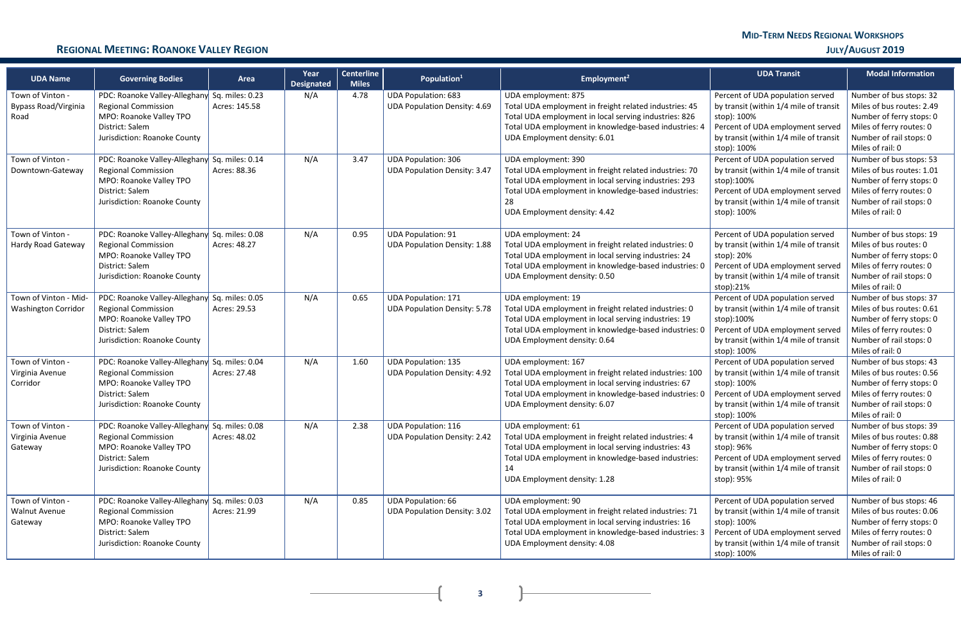# **MID-TERM NEEDS REGIONAL WORKSHOPS**

### **REGIONAL MEETING: ROANOKE VALLEY REGION JULY/AUGUST 2019**

**3**

| <b>UDA Name</b>                                         | <b>Governing Bodies</b>                                                                                                                                   | Area          | Year<br><b>Designated</b> | <b>Centerline</b><br><b>Miles</b> | Population <sup>1</sup>                                           | Employment <sup>2</sup>                                                                                                                                                                                                             | <b>UDA Transit</b>                                                                                                                                                                     | <b>Modal Information</b>                                                                                                                                    |
|---------------------------------------------------------|-----------------------------------------------------------------------------------------------------------------------------------------------------------|---------------|---------------------------|-----------------------------------|-------------------------------------------------------------------|-------------------------------------------------------------------------------------------------------------------------------------------------------------------------------------------------------------------------------------|----------------------------------------------------------------------------------------------------------------------------------------------------------------------------------------|-------------------------------------------------------------------------------------------------------------------------------------------------------------|
| Town of Vinton -<br><b>Bypass Road/Virginia</b><br>Road | PDC: Roanoke Valley-Alleghany Sq. miles: 0.23<br><b>Regional Commission</b><br>MPO: Roanoke Valley TPO<br>District: Salem<br>Jurisdiction: Roanoke County | Acres: 145.58 | N/A                       | 4.78                              | <b>UDA Population: 683</b><br><b>UDA Population Density: 4.69</b> | UDA employment: 875<br>Total UDA employment in freight related industries: 45<br>Total UDA employment in local serving industries: 826<br>Total UDA employment in knowledge-based industries: 4<br>UDA Employment density: 6.01     | Percent of UDA population served<br>by transit (within 1/4 mile of transit<br>stop): 100%<br>Percent of UDA employment served<br>by transit (within 1/4 mile of transit<br>stop): 100% | Number of bus stops: 32<br>Miles of bus routes: 2.49<br>Number of ferry stops: 0<br>Miles of ferry routes: 0<br>Number of rail stops: 0<br>Miles of rail: 0 |
| Town of Vinton -<br>Downtown-Gateway                    | PDC: Roanoke Valley-Alleghany Sq. miles: 0.14<br><b>Regional Commission</b><br>MPO: Roanoke Valley TPO<br>District: Salem<br>Jurisdiction: Roanoke County | Acres: 88.36  | N/A                       | 3.47                              | <b>UDA Population: 306</b><br><b>UDA Population Density: 3.47</b> | UDA employment: 390<br>Total UDA employment in freight related industries: 70<br>Total UDA employment in local serving industries: 293<br>Total UDA employment in knowledge-based industries:<br>28<br>UDA Employment density: 4.42 | Percent of UDA population served<br>by transit (within 1/4 mile of transit<br>stop):100%<br>Percent of UDA employment served<br>by transit (within 1/4 mile of transit<br>stop): 100%  | Number of bus stops: 53<br>Miles of bus routes: 1.01<br>Number of ferry stops: 0<br>Miles of ferry routes: 0<br>Number of rail stops: 0<br>Miles of rail: 0 |
| Town of Vinton -<br>Hardy Road Gateway                  | PDC: Roanoke Valley-Alleghany Sq. miles: 0.08<br><b>Regional Commission</b><br>MPO: Roanoke Valley TPO<br>District: Salem<br>Jurisdiction: Roanoke County | Acres: 48.27  | N/A                       | 0.95                              | <b>UDA Population: 91</b><br><b>UDA Population Density: 1.88</b>  | UDA employment: 24<br>Total UDA employment in freight related industries: 0<br>Total UDA employment in local serving industries: 24<br>Total UDA employment in knowledge-based industries: 0<br>UDA Employment density: 0.50        | Percent of UDA population served<br>by transit (within 1/4 mile of transit<br>stop): 20%<br>Percent of UDA employment served<br>by transit (within 1/4 mile of transit<br>stop):21%    | Number of bus stops: 19<br>Miles of bus routes: 0<br>Number of ferry stops: 0<br>Miles of ferry routes: 0<br>Number of rail stops: 0<br>Miles of rail: 0    |
| Town of Vinton - Mid-<br><b>Washington Corridor</b>     | PDC: Roanoke Valley-Alleghany Sq. miles: 0.05<br><b>Regional Commission</b><br>MPO: Roanoke Valley TPO<br>District: Salem<br>Jurisdiction: Roanoke County | Acres: 29.53  | N/A                       | 0.65                              | <b>UDA Population: 171</b><br><b>UDA Population Density: 5.78</b> | UDA employment: 19<br>Total UDA employment in freight related industries: 0<br>Total UDA employment in local serving industries: 19<br>Total UDA employment in knowledge-based industries: 0<br>UDA Employment density: 0.64        | Percent of UDA population served<br>by transit (within 1/4 mile of transit<br>stop):100%<br>Percent of UDA employment served<br>by transit (within 1/4 mile of transit<br>stop): 100%  | Number of bus stops: 37<br>Miles of bus routes: 0.61<br>Number of ferry stops: 0<br>Miles of ferry routes: 0<br>Number of rail stops: 0<br>Miles of rail: 0 |
| Town of Vinton -<br>Virginia Avenue<br>Corridor         | PDC: Roanoke Valley-Alleghany Sq. miles: 0.04<br><b>Regional Commission</b><br>MPO: Roanoke Valley TPO<br>District: Salem<br>Jurisdiction: Roanoke County | Acres: 27.48  | N/A                       | 1.60                              | <b>UDA Population: 135</b><br><b>UDA Population Density: 4.92</b> | UDA employment: 167<br>Total UDA employment in freight related industries: 100<br>Total UDA employment in local serving industries: 67<br>Total UDA employment in knowledge-based industries: 0<br>UDA Employment density: 6.07     | Percent of UDA population served<br>by transit (within 1/4 mile of transit<br>stop): 100%<br>Percent of UDA employment served<br>by transit (within 1/4 mile of transit<br>stop): 100% | Number of bus stops: 43<br>Miles of bus routes: 0.56<br>Number of ferry stops: 0<br>Miles of ferry routes: 0<br>Number of rail stops: 0<br>Miles of rail: 0 |
| Town of Vinton -<br>Virginia Avenue<br>Gateway          | PDC: Roanoke Valley-Alleghany Sq. miles: 0.08<br><b>Regional Commission</b><br>MPO: Roanoke Valley TPO<br>District: Salem<br>Jurisdiction: Roanoke County | Acres: 48.02  | N/A                       | 2.38                              | <b>UDA Population: 116</b><br><b>UDA Population Density: 2.42</b> | UDA employment: 61<br>Total UDA employment in freight related industries: 4<br>Total UDA employment in local serving industries: 43<br>Total UDA employment in knowledge-based industries:<br>14<br>UDA Employment density: 1.28    | Percent of UDA population served<br>by transit (within 1/4 mile of transit<br>stop): 96%<br>Percent of UDA employment served<br>by transit (within 1/4 mile of transit<br>stop): 95%   | Number of bus stops: 39<br>Miles of bus routes: 0.88<br>Number of ferry stops: 0<br>Miles of ferry routes: 0<br>Number of rail stops: 0<br>Miles of rail: 0 |
| Town of Vinton -<br><b>Walnut Avenue</b><br>Gateway     | PDC: Roanoke Valley-Alleghany Sq. miles: 0.03<br><b>Regional Commission</b><br>MPO: Roanoke Valley TPO<br>District: Salem<br>Jurisdiction: Roanoke County | Acres: 21.99  | N/A                       | 0.85                              | <b>UDA Population: 66</b><br><b>UDA Population Density: 3.02</b>  | UDA employment: 90<br>Total UDA employment in freight related industries: 71<br>Total UDA employment in local serving industries: 16<br>Total UDA employment in knowledge-based industries: 3<br>UDA Employment density: 4.08       | Percent of UDA population served<br>by transit (within 1/4 mile of transit<br>stop): 100%<br>Percent of UDA employment served<br>by transit (within 1/4 mile of transit<br>stop): 100% | Number of bus stops: 46<br>Miles of bus routes: 0.06<br>Number of ferry stops: 0<br>Miles of ferry routes: 0<br>Number of rail stops: 0<br>Miles of rail: 0 |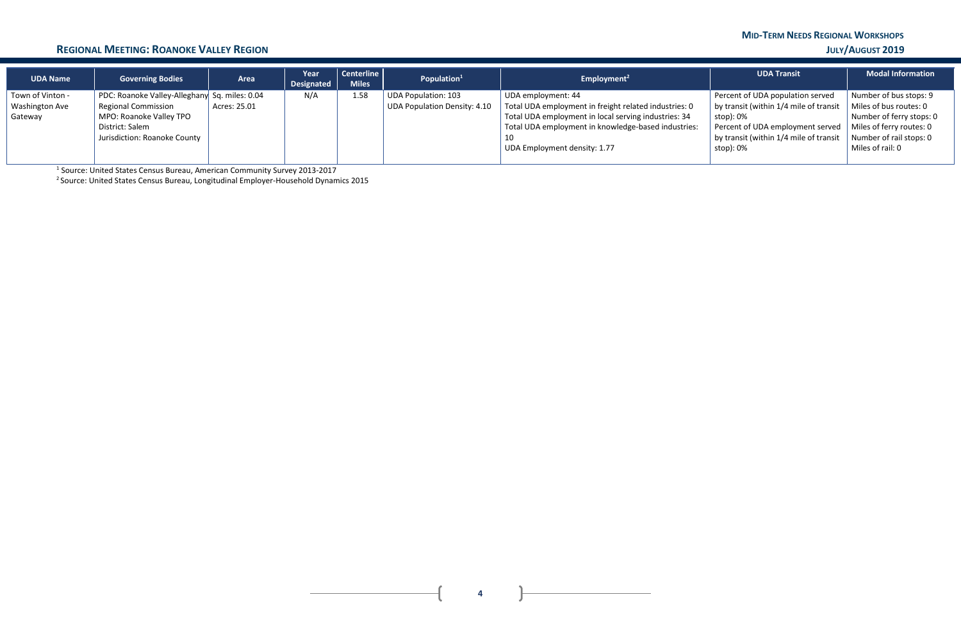# **MID-TERM NEEDS REGIONAL WORKSHOPS**

### **REGIONAL MEETING: ROANOKE VALLEY REGION JULY/AUGUST 2019**

| <b>UDA Name</b>       | <b>Governing Bodies</b>                       | Area         | Year<br><b>Designated</b> | Centerline<br><b>Miles</b> | Population $1$               | Employment <sup>2</sup>                               | <b>UDA Transit</b>                     | <b>Modal Information</b> |
|-----------------------|-----------------------------------------------|--------------|---------------------------|----------------------------|------------------------------|-------------------------------------------------------|----------------------------------------|--------------------------|
| Town of Vinton -      | PDC: Roanoke Valley-Alleghany Sq. miles: 0.04 |              | N/A                       | 1.58                       | UDA Population: 103          | UDA employment: 44                                    | Percent of UDA population served       | Number of bus stops: 9   |
| <b>Washington Ave</b> | <b>Regional Commission</b>                    | Acres: 25.01 |                           |                            | UDA Population Density: 4.10 | Total UDA employment in freight related industries: 0 | by transit (within 1/4 mile of transit | Miles of bus routes: 0   |
| Gateway               | MPO: Roanoke Valley TPO                       |              |                           |                            |                              | Total UDA employment in local serving industries: 34  | stop): 0%                              | Number of ferry stops: 0 |
|                       | District: Salem                               |              |                           |                            |                              | Total UDA employment in knowledge-based industries:   | Percent of UDA employment served       | Miles of ferry routes: 0 |
|                       | Jurisdiction: Roanoke County                  |              |                           |                            |                              | 10                                                    | by transit (within 1/4 mile of transit | Number of rail stops: 0  |
|                       |                                               |              |                           |                            |                              | UDA Employment density: 1.77                          | stop): 0%                              | Miles of rail: 0         |
|                       |                                               |              |                           |                            |                              |                                                       |                                        |                          |

<sup>1</sup> Source: United States Census Bureau, American Community Survey 2013-2017

2 Source: United States Census Bureau, Longitudinal Employer-Household Dynamics 2015